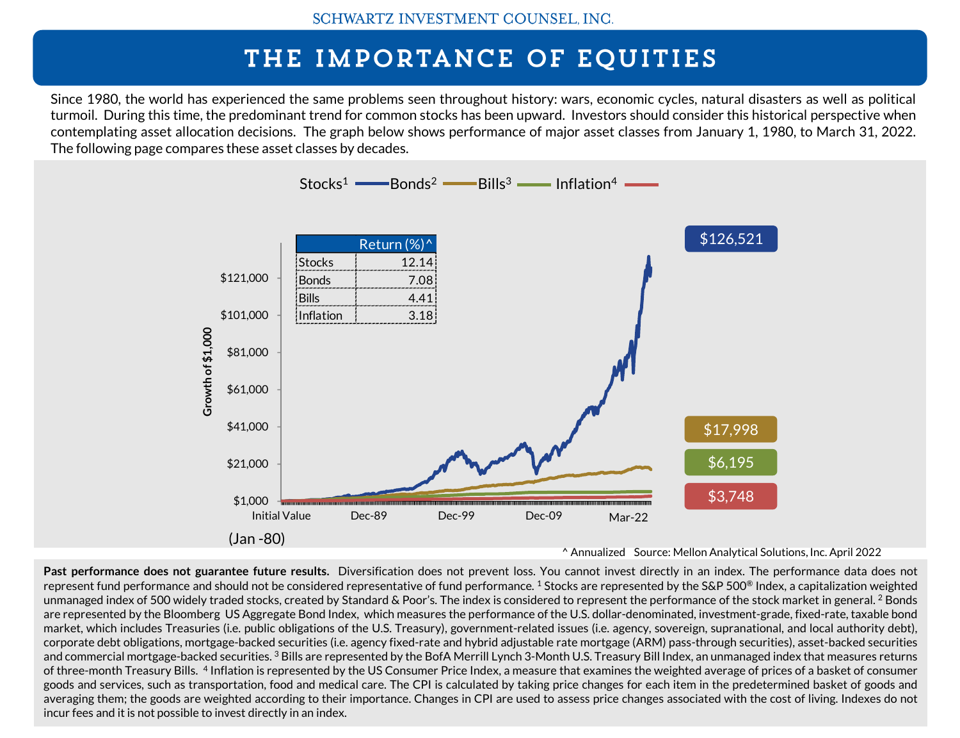## THE IMPORTANCE OF EQUITIES

Since 1980, the world has experienced the same problems seen throughout history: wars, economic cycles, natural disasters as well as political turmoil. During this time, the predominant trend for common stocks has been upward. Investors should consider this historical perspective when contemplating asset allocation decisions. The graph below shows performance of major asset classes from January 1, 1980, to March 31, 2022. The following page compares these asset classes by decades.



^ Annualized Source: Mellon Analytical Solutions, Inc. April 2022

**Past performance does not guarantee future results.** Diversification does not prevent loss. You cannot invest directly in an index. The performance data does not represent fund performance and should not be considered representative of fund performance.  $^1$  Stocks are represented by the S&P 500® Index, a capitalization weighted unmanaged index of 500 widely traded stocks, created by Standard & Poor's. The index is considered to represent the performance of the stock market in general.  $^2$  Bonds are represented by the Bloomberg US Aggregate Bond Index, which measures the performance of the U.S. dollar-denominated, investment-grade, fixed-rate, taxable bond market, which includes Treasuries (i.e. public obligations of the U.S. Treasury), government-related issues (i.e. agency, sovereign, supranational, and local authority debt), corporate debt obligations, mortgage-backed securities (i.e. agency fixed-rate and hybrid adjustable rate mortgage (ARM) pass-through securities), asset-backed securities and commercial mortgage-backed securities. <sup>3</sup> Bills are represented by the BofA Merrill Lynch 3-Month U.S. Treasury Bill Index, an unmanaged index that measures returns of three-month Treasury Bills. <sup>4</sup> Inflation is represented by the US Consumer Price Index, a measure that examines the weighted average of prices of a basket of consumer goods and services, such as transportation, food and medical care. The CPI is calculated by taking price changes for each item in the predetermined basket of goods and averaging them; the goods are weighted according to their importance. Changes in CPI are used to assess price changes associated with the cost of living. Indexes do not incur fees and it is not possible to invest directly in an index.